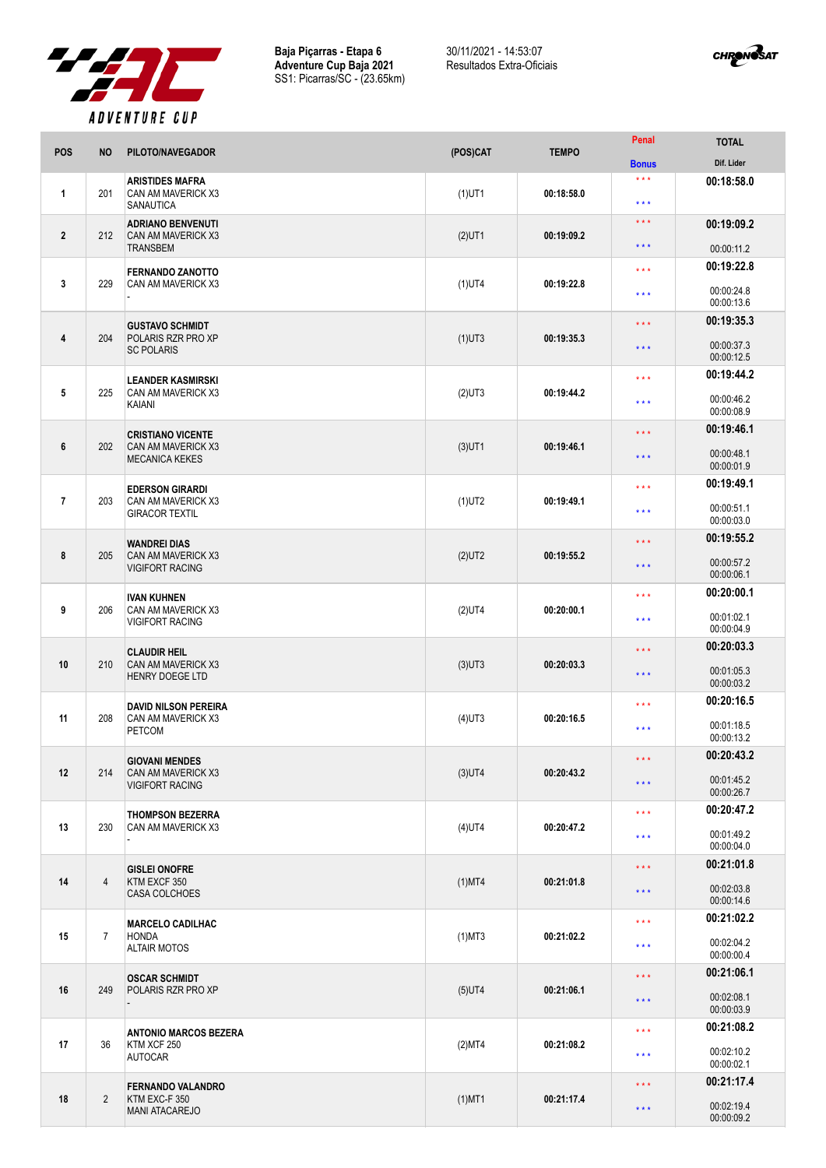

**Baja Piçarras - Etapa 6 Adventure Cup Baja 2021** SS1: Picarras/SC - (23.65km) 30/11/2021 - 14:53:07 Resultados Extra-Oficiais



|                |                | . <i>.</i>                                                                           |           |              | Penal                                      | <b>TOTAL</b>             |
|----------------|----------------|--------------------------------------------------------------------------------------|-----------|--------------|--------------------------------------------|--------------------------|
| <b>POS</b>     | <b>NO</b>      | PILOTO/NAVEGADOR                                                                     | (POS)CAT  | <b>TEMPO</b> | <b>Bonus</b>                               | Dif. Lider               |
| 1              | 201            | <b>ARISTIDES MAFRA</b><br>CAN AM MAVERICK X3<br><b>SANAUTICA</b>                     | $(1)$ UT1 | 00:18:58.0   | $\star \star \star$<br>$\star \star \star$ | 00:18:58.0               |
|                |                | <b>ADRIANO BENVENUTI</b>                                                             |           |              | $\star \star \star$                        | 00:19:09.2               |
| $\mathbf{2}$   | 212            | CAN AM MAVERICK X3<br><b>TRANSBEM</b>                                                | $(2)$ UT1 | 00:19:09.2   | * * *                                      | 00:00:11.2               |
|                |                | <b>FERNANDO ZANOTTO</b>                                                              |           |              | $\star$ $\star$ $\star$                    | 00:19:22.8               |
| 3              | 229            | CAN AM MAVERICK X3                                                                   | $(1)$ UT4 | 00:19:22.8   | $\star \star \star$                        | 00:00:24.8<br>00:00:13.6 |
|                |                | <b>GUSTAVO SCHMIDT</b>                                                               |           |              | $\star \star \star$                        | 00:19:35.3               |
| 4              | 204            | POLARIS RZR PRO XP<br><b>SC POLARIS</b>                                              | $(1)$ UT3 | 00:19:35.3   | $\star \star \star$                        | 00:00:37.3<br>00:00:12.5 |
| 5              | 225            | <b>LEANDER KASMIRSKI</b>                                                             | $(2)$ UT3 | 00:19:44.2   | * * *                                      | 00:19:44.2               |
|                |                | CAN AM MAVERICK X3<br>KAIANI                                                         |           |              | ***                                        | 00:00:46.2<br>00:00:08.9 |
| 6              | 202            | <b>CRISTIANO VICENTE</b><br>CAN AM MAVERICK X3                                       |           | 00:19:46.1   | $\star \star \star$                        | 00:19:46.1               |
|                |                | <b>MECANICA KEKES</b>                                                                | $(3)$ UT1 |              | $\star\star\star$                          | 00:00:48.1<br>00:00:01.9 |
|                |                | <b>EDERSON GIRARDI</b>                                                               |           |              | $\star \star \star$                        | 00:19:49.1               |
| $\overline{7}$ | 203            | CAN AM MAVERICK X3<br><b>GIRACOR TEXTIL</b>                                          | $(1)$ UT2 | 00:19:49.1   | $\star \star \star$                        | 00:00:51.1<br>00:00:03.0 |
|                |                | <b>WANDREI DIAS</b>                                                                  |           |              | $\star \star \star$                        | 00:19:55.2               |
| 8              | 205            | CAN AM MAVERICK X3<br><b>VIGIFORT RACING</b>                                         | $(2)$ UT2 | 00:19:55.2   | * * *                                      | 00:00:57.2<br>00:00:06.1 |
|                |                | <b>IVAN KUHNEN</b>                                                                   |           |              | $\star \star \star$                        | 00:20:00.1               |
| 9              | 206            | CAN AM MAVERICK X3<br><b>VIGIFORT RACING</b>                                         | $(2)$ UT4 | 00:20:00.1   | $\star \star \star$                        | 00:01:02.1<br>00:00:04.9 |
|                |                | <b>CLAUDIR HEIL</b>                                                                  |           | 00:20:03.3   | $\star \star \star$                        | 00:20:03.3               |
| 10             | 210            | CAN AM MAVERICK X3<br><b>HENRY DOEGE LTD</b>                                         | $(3)$ UT3 |              | $\star \star \star$                        | 00:01:05.3<br>00:00:03.2 |
|                |                | <b>DAVID NILSON PEREIRA</b>                                                          |           |              | $\star \star \star$                        | 00:20:16.5               |
| 11             | 208            | CAN AM MAVERICK X3<br><b>PETCOM</b>                                                  | $(4)$ UT3 | 00:20:16.5   | $***$                                      | 00:01:18.5<br>00:00:13.2 |
|                |                | <b>GIOVANI MENDES</b>                                                                |           |              | $\star$ $\star$ $\star$                    | 00:20:43.2               |
| 12             | 214            | CAN AM MAVERICK X3<br><b>VIGIFORT RACING</b>                                         | $(3)$ UT4 | 00:20:43.2   | $\star \star \star$                        | 00:01:45.2<br>00:00:26.7 |
|                |                | <b>THOMPSON BEZERRA</b>                                                              |           |              | $\star \star \star$                        | 00:20:47.2               |
| 13             | 230            | CAN AM MAVERICK X3                                                                   | $(4)$ UT4 | 00:20:47.2   | $\star \star \star$                        | 00:01:49.2<br>00:00:04.0 |
|                |                | <b>GISLEI ONOFRE</b>                                                                 |           | 00:21:01.8   | $\star$ $\star$ $\star$                    | 00:21:01.8               |
| 14             | $\overline{4}$ | KTM EXCF 350<br><b>CASA COLCHOES</b>                                                 | $(1)$ MT4 |              | $\star\star\star$                          | 00:02:03.8<br>00:00:14.6 |
|                |                | <b>MARCELO CADILHAC</b>                                                              |           |              | $\star$ $\star$ $\star$                    | 00:21:02.2               |
| 15             | $\overline{7}$ | <b>HONDA</b><br><b>ALTAIR MOTOS</b>                                                  | $(1)$ MT3 | 00:21:02.2   | $\star \star \star$                        | 00:02:04.2<br>00:00:00.4 |
|                |                | <b>OSCAR SCHMIDT</b><br>POLARIS RZR PRO XP                                           |           | 00:21:06.1   | $\star$ $\star$ $\star$                    | 00:21:06.1               |
| 16             | 249            |                                                                                      | $(5)$ UT4 |              | $\star \star \star$                        | 00:02:08.1<br>00:00:03.9 |
|                |                | <b>ANTONIO MARCOS BEZERA</b>                                                         |           | 00:21:08.2   | $\star\star\star$                          | 00:21:08.2               |
| 17             | 36             | KTM XCF 250<br><b>AUTOCAR</b>                                                        | (2)MT4    |              | $\star \star \star$                        | 00:02:10.2<br>00:00:02.1 |
| 18             |                | <b>FERNANDO VALANDRO</b><br>$\overline{2}$<br>KTM EXC-F 350<br><b>MANI ATACAREJO</b> | $(1)$ MT1 | 00:21:17.4   | $\star\star\star$                          | 00:21:17.4               |
|                |                |                                                                                      |           |              | $\star \star \star$                        | 00:02:19.4<br>00:00:09.2 |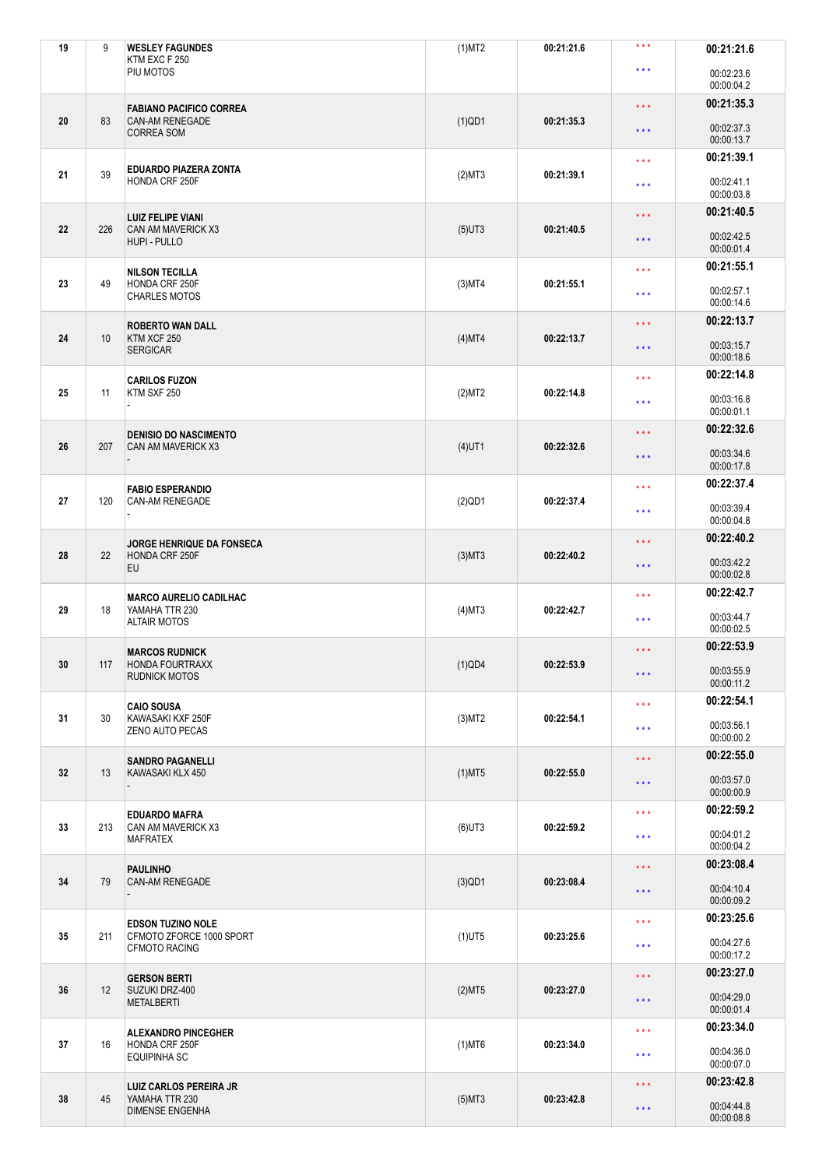| 19 | 9   | <b>WESLEY FAGUNDES</b><br>KTM EXC F 250          | $(1)$ MT2 | 00:21:21.6 | $***$                   | 00:21:21.6               |
|----|-----|--------------------------------------------------|-----------|------------|-------------------------|--------------------------|
|    |     | PIU MOTOS                                        |           |            | $***$                   | 00:02:23.6<br>00:00:04.2 |
|    |     | <b>FABIANO PACIFICO CORREA</b>                   |           |            | $\star \star \star$     | 00:21:35.3               |
| 20 | 83  | <b>CAN-AM RENEGADE</b><br><b>CORREA SOM</b>      | $(1)$ QD1 | 00:21:35.3 | $\star$ $\star$ $\star$ | 00:02:37.3<br>00:00:13.7 |
|    |     | EDUARDO PIAZERA ZONTA                            |           |            | $***$                   | 00:21:39.1               |
| 21 | 39  | HONDA CRF 250F                                   | (2)MT3    | 00:21:39.1 | $\star \star \star$     | 00:02:41.1<br>00:00:03.8 |
|    |     | <b>LUIZ FELIPE VIANI</b>                         |           |            | $\star \star \star$     | 00:21:40.5               |
| 22 | 226 | CAN AM MAVERICK X3<br>HUPI - PULLO               | $(5)$ UT3 | 00:21:40.5 | $***$                   | 00:02:42.5<br>00:00:01.4 |
|    |     | <b>NILSON TECILLA</b>                            |           |            | $\star \star \star$     | 00:21:55.1               |
| 23 | 49  | HONDA CRF 250F<br><b>CHARLES MOTOS</b>           | $(3)$ MT4 | 00:21:55.1 | $\star \star \star$     | 00:02:57.1<br>00:00:14.6 |
|    |     | <b>ROBERTO WAN DALL</b>                          |           |            | $\star \star \star$     | 00:22:13.7               |
| 24 | 10  | KTM XCF 250<br><b>SERGICAR</b>                   | $(4)$ MT4 | 00:22:13.7 | $***$                   | 00:03:15.7<br>00:00:18.6 |
|    |     | <b>CARILOS FUZON</b>                             |           |            | $\star \star \star$     | 00:22:14.8               |
| 25 | 11  | KTM SXF 250                                      | (2)MT2    | 00:22:14.8 | $\star \star \star$     | 00:03:16.8<br>00:00:01.1 |
|    |     | <b>DENISIO DO NASCIMENTO</b>                     |           |            | $\star \star \star$     | 00:22:32.6               |
| 26 | 207 | CAN AM MAVERICK X3                               | $(4)$ UT1 | 00:22:32.6 | $\star \star \star$     | 00:03:34.6<br>00:00:17.8 |
|    |     | <b>FABIO ESPERANDIO</b>                          |           |            | $\star \star \star$     | 00:22:37.4               |
| 27 | 120 | <b>CAN-AM RENEGADE</b>                           | $(2)$ QD1 | 00:22:37.4 | $\star \star \star$     | 00:03:39.4<br>00:00:04.8 |
|    |     | <b>JORGE HENRIQUE DA FONSECA</b>                 |           |            | $***$                   | 00:22:40.2               |
| 28 | 22  | HONDA CRF 250F<br>EU                             | $(3)$ MT3 | 00:22:40.2 | $\star \star \star$     | 00:03:42.2<br>00:00:02.8 |
|    |     | <b>MARCO AURELIO CADILHAC</b>                    |           |            | $\star$ $\star$ $\star$ | 00:22:42.7               |
| 29 | 18  | YAMAHA TTR 230<br><b>ALTAIR MOTOS</b>            | $(4)$ MT3 | 00:22:42.7 | $\star \star \star$     | 00:03:44.7<br>00:00:02.5 |
|    |     | <b>MARCOS RUDNICK</b>                            |           |            | $***$                   | 00:22:53.9               |
| 30 | 117 | HONDA FOURTRAXX<br><b>RUDNICK MOTOS</b>          | $(1)$ QD4 | 00:22:53.9 | $\star$ $\star$ $\star$ | 00:03:55.9<br>00:00:11.2 |
|    |     | <b>CAIO SOUSA</b>                                |           |            | $\star \star \star$     | 00:22:54.1               |
| 31 | 30  | KAWASAKI KXF 250F<br>ZENO AUTO PECAS             | (3)MT2    | 00:22:54.1 | $\star\star\star$       | 00:03:56.1<br>00:00:00.2 |
|    |     | <b>SANDRO PAGANELLI</b>                          |           |            | $\star$ $\star$ $\star$ | 00:22:55.0               |
| 32 | 13  | KAWASAKI KLX 450                                 | $(1)$ MT5 | 00:22:55.0 | $\star$ $\star$ $\star$ | 00:03:57.0<br>00:00:00.9 |
|    |     | <b>EDUARDO MAFRA</b>                             |           |            | $\star$ $\star$ $\star$ | 00:22:59.2               |
| 33 | 213 | CAN AM MAVERICK X3<br><b>MAFRATEX</b>            | $(6)$ UT3 | 00:22:59.2 | $\star$ $\star$ $\star$ | 00:04:01.2<br>00:00:04.2 |
|    |     | <b>PAULINHO</b>                                  |           |            | $\star \star \star$     | 00:23:08.4               |
| 34 | 79  | CAN-AM RENEGADE                                  | $(3)$ QD1 | 00:23:08.4 | $\star$ $\star$ $\star$ | 00:04:10.4<br>00:00:09.2 |
|    |     | <b>EDSON TUZINO NOLE</b>                         |           |            | $\star \star \star$     | 00:23:25.6               |
| 35 | 211 | CFMOTO ZFORCE 1000 SPORT<br><b>CFMOTO RACING</b> | $(1)$ UT5 | 00:23:25.6 | $\star \star \star$     | 00:04:27.6<br>00:00:17.2 |
|    |     | <b>GERSON BERTI</b>                              |           |            | $\star$ $\star$ $\star$ | 00:23:27.0               |
| 36 | 12  | SUZUKI DRZ-400<br><b>METALBERTI</b>              | (2)MT5    | 00:23:27.0 | $\star\star\star$       | 00:04:29.0<br>00:00:01.4 |
|    |     | <b>ALEXANDRO PINCEGHER</b>                       |           |            | $\star \star \star$     | 00:23:34.0               |
| 37 | 16  | HONDA CRF 250F<br><b>EQUIPINHA SC</b>            | $(1)$ MT6 | 00:23:34.0 | $\star \star \star$     | 00:04:36.0<br>00:00:07.0 |
|    |     | <b>LUIZ CARLOS PEREIRA JR</b>                    |           |            | $\star$ $\star$ $\star$ | 00:23:42.8               |
| 38 | 45  | YAMAHA TTR 230<br><b>DIMENSE ENGENHA</b>         | $(5)$ MT3 | 00:23:42.8 | $\star$ $\star$ $\star$ | 00:04:44.8<br>00:00:08.8 |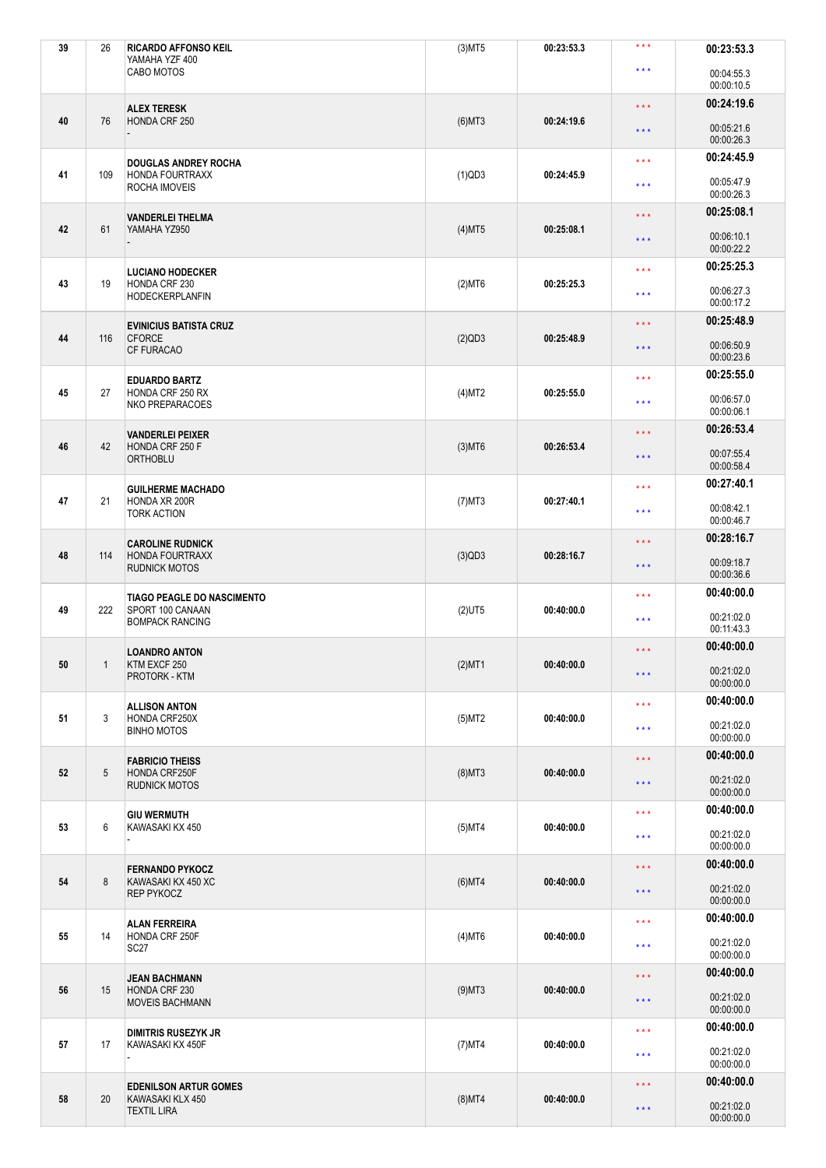| 39 | 26  | <b>RICARDO AFFONSO KEIL</b><br>YAMAHA YZF 400 | $(3)$ MT5 | 00:23:53.3 | $* * *$                 | 00:23:53.3               |
|----|-----|-----------------------------------------------|-----------|------------|-------------------------|--------------------------|
|    |     | CABO MOTOS                                    |           |            | $\star \star \star$     | 00:04:55.3<br>00:00:10.5 |
|    |     | <b>ALEX TERESK</b>                            |           |            | $\star$ $\star$ $\star$ | 00:24:19.6               |
| 40 | 76  | HONDA CRF 250                                 | $(6)$ MT3 | 00:24:19.6 | $\star\star\star$       | 00:05:21.6<br>00:00:26.3 |
|    |     | <b>DOUGLAS ANDREY ROCHA</b>                   |           |            | $\star \star \star$     | 00:24:45.9               |
| 41 | 109 | HONDA FOURTRAXX<br>ROCHA IMOVEIS              | $(1)$ QD3 | 00:24:45.9 | * * *                   | 00:05:47.9<br>00:00:26.3 |
|    |     | <b>VANDERLEI THELMA</b>                       |           |            | $\star \star \star$     | 00:25:08.1               |
| 42 | 61  | YAMAHA YZ950                                  | $(4)$ MT5 | 00:25:08.1 | $\star\star\star$       | 00:06:10.1<br>00:00:22.2 |
|    |     | <b>LUCIANO HODECKER</b>                       |           |            | $\star \star \star$     | 00:25:25.3               |
| 43 | 19  | HONDA CRF 230<br><b>HODECKERPLANFIN</b>       | $(2)$ MT6 | 00:25:25.3 | $\star \star \star$     | 00:06:27.3<br>00:00:17.2 |
|    |     | <b>EVINICIUS BATISTA CRUZ</b>                 |           |            | $\star$ $\star$ $\star$ | 00:25:48.9               |
| 44 | 116 | <b>CFORCE</b><br>CF FURACAO                   | (2)QD3    | 00:25:48.9 | $\star$ $\star$ $\star$ | 00:06:50.9<br>00:00:23.6 |
|    |     | <b>EDUARDO BARTZ</b>                          |           |            | $***$                   | 00:25:55.0               |
| 45 | 27  | HONDA CRF 250 RX<br>NKO PREPARACOES           | (4)MT2    | 00:25:55.0 | $\star \star \star$     | 00:06:57.0<br>00:00:06.1 |
|    |     | <b>VANDERLEI PEIXER</b>                       |           |            | $***$                   | 00:26:53.4               |
| 46 | 42  | HONDA CRF 250 F<br><b>ORTHOBLU</b>            | $(3)$ MT6 | 00:26:53.4 | $***$                   | 00:07:55.4<br>00:00:58.4 |
|    |     | <b>GUILHERME MACHADO</b>                      |           |            | $\star \star \star$     | 00:27:40.1               |
| 47 | 21  | HONDA XR 200R<br><b>TORK ACTION</b>           | $(7)$ MT3 | 00:27:40.1 | $\star \star \star$     | 00:08:42.1<br>00:00:46.7 |
|    |     | <b>CAROLINE RUDNICK</b>                       |           |            | $\star$ $\star$ $\star$ | 00:28:16.7               |
| 48 | 114 | HONDA FOURTRAXX<br><b>RUDNICK MOTOS</b>       | (3)QD3    | 00:28:16.7 | * * *                   | 00:09:18.7<br>00:00:36.6 |
|    |     | <b>TIAGO PEAGLE DO NASCIMENTO</b>             |           |            | $***$                   | 00:40:00.0               |
| 49 | 222 | SPORT 100 CANAAN<br><b>BOMPACK RANCING</b>    | $(2)$ UT5 | 00:40:00.0 | $\star \star \star$     | 00:21:02.0<br>00:11:43.3 |
|    |     | <b>LOANDRO ANTON</b>                          |           |            | * * *                   | 00:40:00.0               |
| 50 | 1   | KTM EXCF 250<br>PROTORK - KTM                 | $(2)$ MT1 | 00:40:00.0 | $\star$ $\star$ $\star$ | 00:21:02.0<br>00:00:00.0 |
|    |     | <b>ALLISON ANTON</b>                          |           |            | $\star$ $\star$ $\star$ | 00:40:00.0               |
| 51 | 3   | HONDA CRF250X<br><b>BINHO MOTOS</b>           | $(5)$ MT2 | 00:40:00.0 | $\star \star \star$     | 00:21:02.0<br>00:00:00.0 |
|    |     | <b>FABRICIO THEISS</b>                        |           |            | $\star$ $\star$ $\star$ | 00:40:00.0               |
| 52 | 5   | HONDA CRF250F<br><b>RUDNICK MOTOS</b>         | $(8)$ MT3 | 00:40:00.0 | $\star\star\star$       | 00:21:02.0<br>00:00:00.0 |
|    |     | <b>GIU WERMUTH</b>                            |           |            | $\star \star \star$     | 00:40:00.0               |
| 53 | 6   | KAWASAKI KX 450                               | $(5)$ MT4 | 00:40:00.0 | $\star\star\star$       | 00:21:02.0<br>00:00:00.0 |
|    |     | <b>FERNANDO PYKOCZ</b>                        |           |            | $\star \star \star$     | 00:40:00.0               |
| 54 | 8   | KAWASAKI KX 450 XC<br>REP PYKOCZ              | $(6)$ MT4 | 00:40:00.0 | $\star\star\star$       | 00:21:02.0<br>00:00:00.0 |
|    |     | <b>ALAN FERREIRA</b>                          |           |            | $\star$ $\star$ $\star$ | 00:40:00.0               |
| 55 | 14  | HONDA CRF 250F<br>SC <sub>27</sub>            | $(4)$ MT6 | 00:40:00.0 | $\star\star\star$       | 00:21:02.0<br>00:00:00.0 |
|    |     | <b>JEAN BACHMANN</b>                          |           |            | $\star$ $\star$ $\star$ | 00:40:00.0               |
| 56 | 15  | HONDA CRF 230<br><b>MOVEIS BACHMANN</b>       | $(9)$ MT3 | 00:40:00.0 | $\star$ $\star$ $\star$ | 00:21:02.0<br>00:00:00.0 |
|    |     | <b>DIMITRIS RUSEZYK JR</b>                    |           |            | $\star$ $\star$ $\star$ | 00:40:00.0               |
| 57 | 17  | KAWASAKI KX 450F                              | $(7)$ MT4 | 00:40:00.0 | $***$                   | 00:21:02.0<br>00:00:00.0 |
|    |     | <b>EDENILSON ARTUR GOMES</b>                  |           |            | $\star \star \star$     | 00:40:00.0               |
| 58 | 20  | KAWASAKI KLX 450<br><b>TEXTIL LIRA</b>        | $(8)$ MT4 | 00:40:00.0 | $\star$ $\star$ $\star$ | 00:21:02.0<br>00:00:00.0 |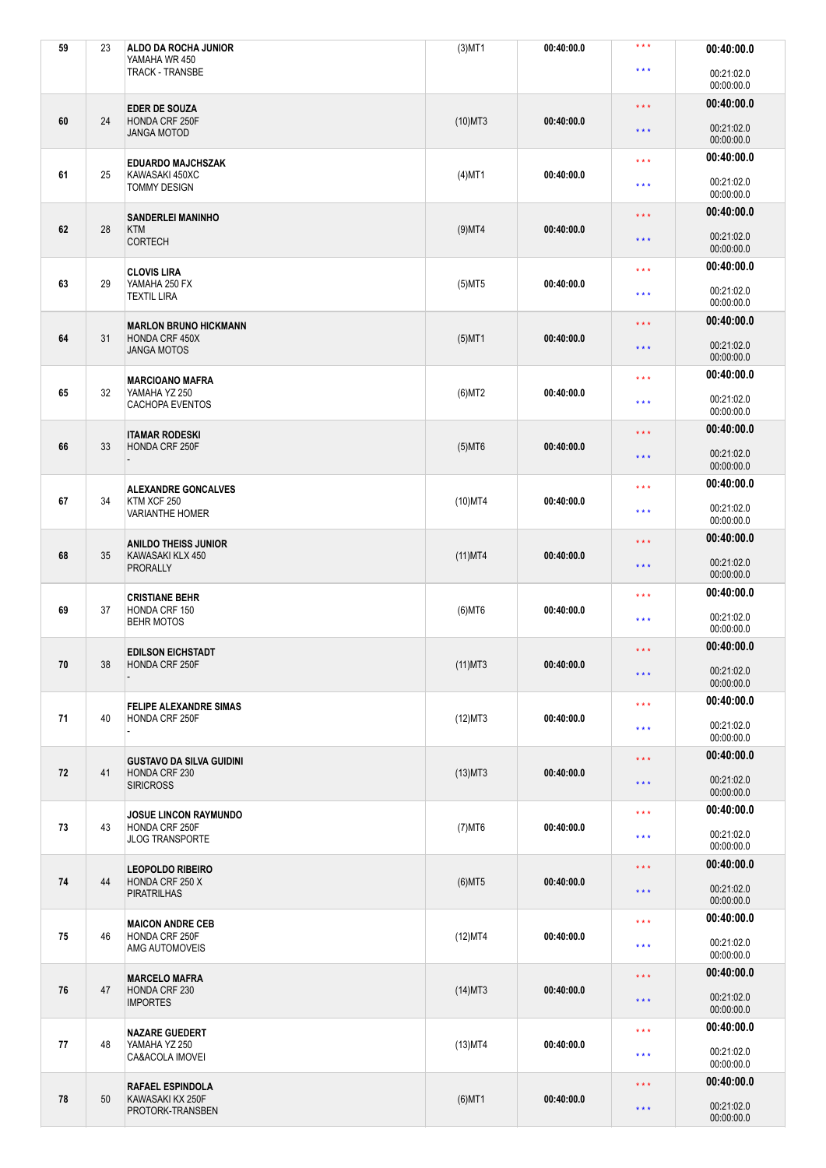| 59 | 23 | ALDO DA ROCHA JUNIOR<br>YAMAHA WR 450                                    | $(3)$ MT1  | 00:40:00.0 | * * *                   | 00:40:00.0               |
|----|----|--------------------------------------------------------------------------|------------|------------|-------------------------|--------------------------|
|    |    | <b>TRACK - TRANSBE</b>                                                   |            |            | $\star \star \star$     | 00:21:02.0<br>00:00:00.0 |
|    |    | <b>EDER DE SOUZA</b>                                                     |            |            | $\star \star \star$     | 00:40:00.0               |
| 60 | 24 | HONDA CRF 250F<br><b>JANGA MOTOD</b>                                     | $(10)$ MT3 | 00:40:00.0 | $\star\star\star$       | 00:21:02.0<br>00:00:00.0 |
|    |    | <b>EDUARDO MAJCHSZAK</b>                                                 |            |            | $\star \star \star$     | 00:40:00.0               |
| 61 | 25 | KAWASAKI 450XC<br><b>TOMMY DESIGN</b>                                    | $(4)$ MT1  | 00:40:00.0 | * * *                   | 00:21:02.0<br>00:00:00.0 |
|    |    | <b>SANDERLEI MANINHO</b>                                                 |            |            | $***$                   | 00:40:00.0               |
| 62 | 28 | <b>KTM</b><br><b>CORTECH</b>                                             | $(9)$ MT4  | 00:40:00.0 | $\star\star\star$       | 00:21:02.0<br>00:00:00.0 |
|    |    | <b>CLOVIS LIRA</b>                                                       |            |            | $\star \star \star$     | 00:40:00.0               |
| 63 | 29 | YAMAHA 250 FX<br><b>TEXTIL LIRA</b>                                      | $(5)$ MT5  | 00:40:00.0 | $***$                   | 00:21:02.0<br>00:00:00.0 |
|    |    | <b>MARLON BRUNO HICKMANN</b>                                             |            |            | $\star\star\star$       | 00:40:00.0               |
| 64 | 31 | HONDA CRF 450X<br><b>JANGA MOTOS</b>                                     | $(5)$ MT1  | 00:40:00.0 | $\star\star\star$       | 00:21:02.0<br>00:00:00.0 |
|    |    | <b>MARCIOANO MAFRA</b>                                                   |            |            | $***$                   | 00:40:00.0               |
| 65 | 32 | YAMAHA YZ 250<br><b>CACHOPA EVENTOS</b>                                  | $(6)$ MT2  | 00:40:00.0 | $\star \star \star$     | 00:21:02.0<br>00:00:00.0 |
|    |    | <b>ITAMAR RODESKI</b>                                                    |            |            | $\star \star \star$     | 00:40:00.0               |
| 66 | 33 | HONDA CRF 250F                                                           | $(5)$ MT6  | 00:40:00.0 | $\star\star\star$       | 00:21:02.0<br>00:00:00.0 |
|    |    | <b>ALEXANDRE GONCALVES</b>                                               |            |            | $\star \star \star$     | 00:40:00.0               |
| 67 | 34 | KTM XCF 250<br><b>VARIANTHE HOMER</b>                                    | $(10)$ MT4 | 00:40:00.0 | $\star \star \star$     | 00:21:02.0<br>00:00:00.0 |
|    |    | <b>ANILDO THEISS JUNIOR</b>                                              |            |            | $\star\star\star$       | 00:40:00.0               |
| 68 | 35 | KAWASAKI KLX 450<br>PRORALLY                                             | $(11)$ MT4 | 00:40:00.0 | $\star\star\star$       | 00:21:02.0<br>00:00:00.0 |
|    |    | <b>CRISTIANE BEHR</b>                                                    |            |            | $***$                   | 00:40:00.0               |
| 69 | 37 | HONDA CRF 150<br><b>BEHR MOTOS</b>                                       | $(6)$ MT6  | 00:40:00.0 | * * *                   | 00:21:02.0<br>00:00:00.0 |
|    |    | <b>EDILSON EICHSTADT</b>                                                 |            |            | $***$                   | 00:40:00.0               |
| 70 | 38 | HONDA CRF 250F                                                           | $(11)$ MT3 | 00:40:00.0 | $\star$ $\star$ $\star$ | 00:21:02.0<br>00:00:00.0 |
|    |    | <b>FELIPE ALEXANDRE SIMAS</b>                                            |            |            | $\star$ $\star$ $\star$ | 00:40:00.0               |
| 71 | 40 | HONDA CRF 250F                                                           | (12)MT3    | 00:40:00.0 | $\star \star \star$     | 00:21:02.0               |
|    |    |                                                                          |            |            | $\star\star\star$       | 00:00:00.0<br>00:40:00.0 |
| 72 | 41 | <b>GUSTAVO DA SILVA GUIDINI</b><br>HONDA CRF 230<br><b>SIRICROSS</b>     | $(13)$ MT3 | 00:40:00.0 | $\star\star\star$       | 00:21:02.0               |
|    |    |                                                                          |            |            | $\star \star \star$     | 00:00:00.0<br>00:40:00.0 |
| 73 | 43 | <b>JOSUE LINCON RAYMUNDO</b><br>HONDA CRF 250F<br><b>JLOG TRANSPORTE</b> | $(7)$ MT6  | 00:40:00.0 | $***$                   | 00:21:02.0<br>00:00:00.0 |
|    |    | <b>LEOPOLDO RIBEIRO</b>                                                  |            |            | $\star \star \star$     | 00:40:00.0               |
| 74 | 44 | HONDA CRF 250 X<br><b>PIRATRILHAS</b>                                    | $(6)$ MT5  | 00:40:00.0 | $\star\star\star$       | 00:21:02.0<br>00:00:00.0 |
|    |    | <b>MAICON ANDRE CEB</b>                                                  |            |            | $\star \star \star$     | 00:40:00.0               |
| 75 | 46 | HONDA CRF 250F<br>AMG AUTOMOVEIS                                         | (12)MT4    | 00:40:00.0 | * * *                   | 00:21:02.0<br>00:00:00.0 |
|    |    | <b>MARCELO MAFRA</b>                                                     |            |            | $\star \star \star$     | 00:40:00.0               |
| 76 | 47 | HONDA CRF 230<br><b>IMPORTES</b>                                         | $(14)$ MT3 | 00:40:00.0 | $\star \star \star$     | 00:21:02.0<br>00:00:00.0 |
|    |    | <b>NAZARE GUEDERT</b>                                                    |            |            | $\star\star\star$       | 00:40:00.0               |
| 77 | 48 | YAMAHA YZ 250<br>CA&ACOLA IMOVEI                                         | $(13)$ MT4 | 00:40:00.0 | $\star \star \star$     | 00:21:02.0<br>00:00:00.0 |
|    |    | <b>RAFAEL ESPINDOLA</b>                                                  |            |            | $\star\star\star$       | 00:40:00.0               |
| 78 | 50 | KAWASAKI KX 250F<br>PROTORK-TRANSBEN                                     | $(6)$ MT1  | 00:40:00.0 | $\star$ $\star$ $\star$ | 00:21:02.0<br>00:00:00.0 |